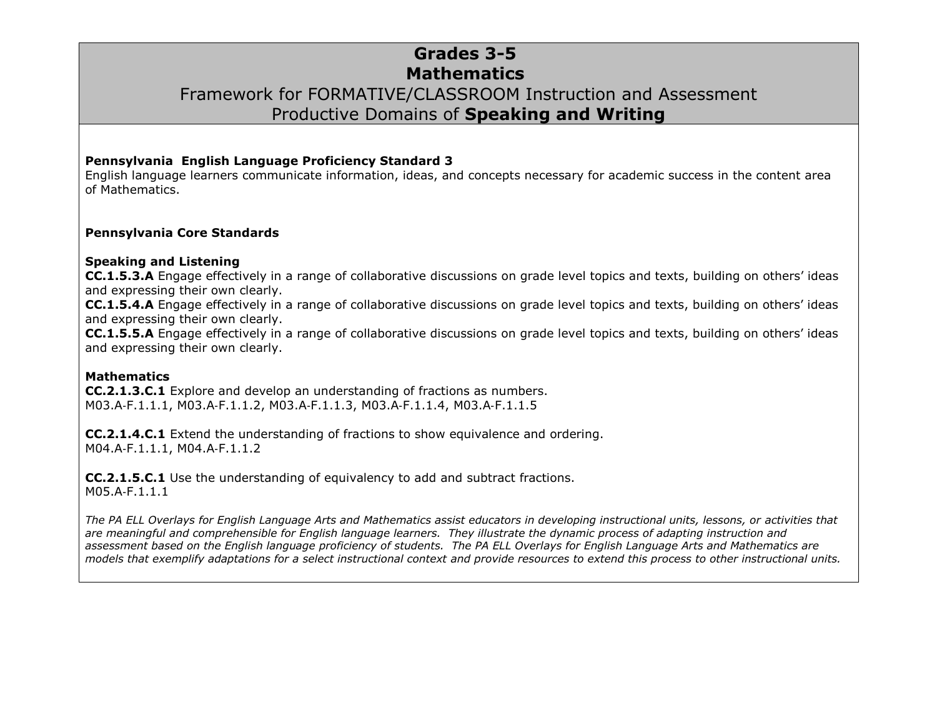## **Grades 3-5 Mathematics** Framework for FORMATIVE/CLASSROOM Instruction and Assessment Productive Domains of **Speaking and Writing**

#### **Pennsylvania English Language Proficiency Standard 3**

English language learners communicate information, ideas, and concepts necessary for academic success in the content area of Mathematics.

#### **Pennsylvania Core Standards**

#### **Speaking and Listening**

**CC.1.5.3.A** Engage effectively in a range of collaborative discussions on grade level topics and texts, building on others' ideas and expressing their own clearly.

**CC.1.5.4.A** Engage effectively in a range of collaborative discussions on grade level topics and texts, building on others' ideas and expressing their own clearly.

**CC.1.5.5.A** Engage effectively in a range of collaborative discussions on grade level topics and texts, building on others' ideas and expressing their own clearly.

#### **Mathematics**

**CC.2.1.3.C.1** Explore and develop an understanding of fractions as numbers. M03.A‐F.1.1.1, M03.A‐F.1.1.2, M03.A‐F.1.1.3, M03.A‐F.1.1.4, M03.A‐F.1.1.5

**CC.2.1.4.C.1** Extend the understanding of fractions to show equivalence and ordering. M04.A‐F.1.1.1, M04.A‐F.1.1.2

**CC.2.1.5.C.1** Use the understanding of equivalency to add and subtract fractions. M05.A‐F.1.1.1

*The PA ELL Overlays for English Language Arts and Mathematics assist educators in developing instructional units, lessons, or activities that are meaningful and comprehensible for English language learners. They illustrate the dynamic process of adapting instruction and assessment based on the English language proficiency of students. The PA ELL Overlays for English Language Arts and Mathematics are models that exemplify adaptations for a select instructional context and provide resources to extend this process to other instructional units.*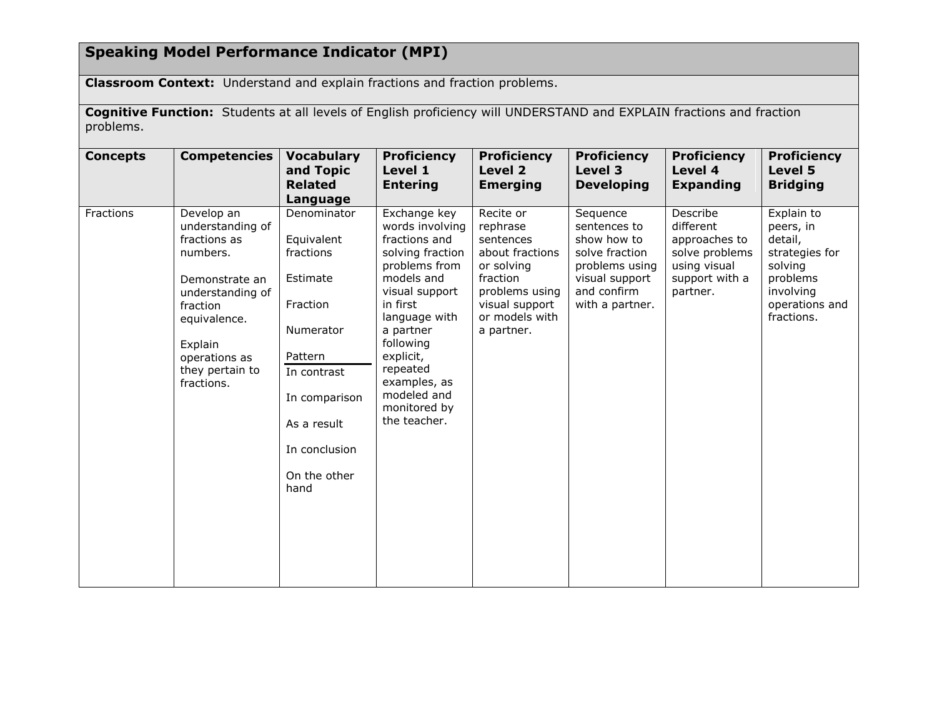# **Speaking Model Performance Indicator (MPI)**

**Classroom Context:** Understand and explain fractions and fraction problems.

**Cognitive Function:** Students at all levels of English proficiency will UNDERSTAND and EXPLAIN fractions and fraction problems.

| <b>Concepts</b> | <b>Competencies</b>                                                                                                                                                                       | <b>Vocabulary</b><br>and Topic<br><b>Related</b><br>Language                                                                                                                          | <b>Proficiency</b><br>Level 1<br><b>Entering</b>                                                                                                                                                                                                                     | <b>Proficiency</b><br>Level 2<br><b>Emerging</b>                                                                                                    | <b>Proficiency</b><br>Level 3<br><b>Developing</b>                                                                              | <b>Proficiency</b><br>Level 4<br><b>Expanding</b>                                                      | <b>Proficiency</b><br>Level 5<br><b>Bridging</b>                                                                         |
|-----------------|-------------------------------------------------------------------------------------------------------------------------------------------------------------------------------------------|---------------------------------------------------------------------------------------------------------------------------------------------------------------------------------------|----------------------------------------------------------------------------------------------------------------------------------------------------------------------------------------------------------------------------------------------------------------------|-----------------------------------------------------------------------------------------------------------------------------------------------------|---------------------------------------------------------------------------------------------------------------------------------|--------------------------------------------------------------------------------------------------------|--------------------------------------------------------------------------------------------------------------------------|
| Fractions       | Develop an<br>understanding of<br>fractions as<br>numbers.<br>Demonstrate an<br>understanding of<br>fraction<br>equivalence.<br>Explain<br>operations as<br>they pertain to<br>fractions. | Denominator<br>Equivalent<br>fractions<br>Estimate<br>Fraction<br><b>Numerator</b><br>Pattern<br>In contrast<br>In comparison<br>As a result<br>In conclusion<br>On the other<br>hand | Exchange key<br>words involving<br>fractions and<br>solving fraction<br>problems from<br>models and<br>visual support<br>in first<br>language with<br>a partner<br>following<br>explicit,<br>repeated<br>examples, as<br>modeled and<br>monitored by<br>the teacher. | Recite or<br>rephrase<br>sentences<br>about fractions<br>or solving<br>fraction<br>problems using<br>visual support<br>or models with<br>a partner. | Sequence<br>sentences to<br>show how to<br>solve fraction<br>problems using<br>visual support<br>and confirm<br>with a partner. | Describe<br>different<br>approaches to<br>solve problems<br>using visual<br>support with a<br>partner. | Explain to<br>peers, in<br>detail,<br>strategies for<br>solving<br>problems<br>involving<br>operations and<br>fractions. |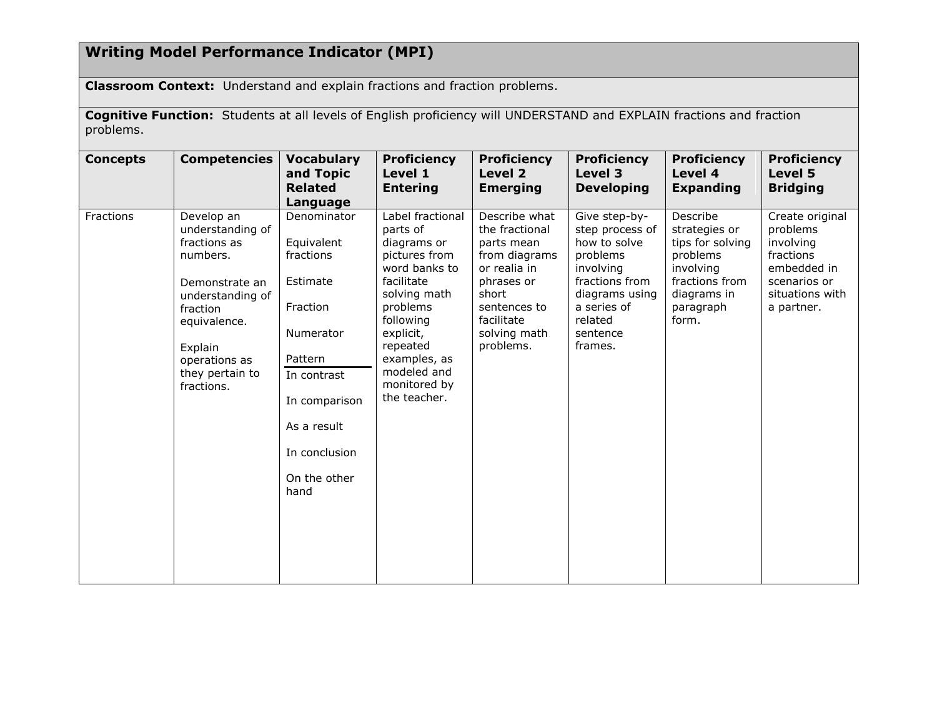## **Writing Model Performance Indicator (MPI)**

**Classroom Context:** Understand and explain fractions and fraction problems.

**Cognitive Function:** Students at all levels of English proficiency will UNDERSTAND and EXPLAIN fractions and fraction problems.

| <b>Concepts</b> | <b>Competencies</b>                                                                                                                                                                       | <b>Vocabulary</b><br>and Topic<br><b>Related</b><br>Language                                                                                                                   | <b>Proficiency</b><br>Level 1<br><b>Entering</b>                                                                                                                                                                             | <b>Proficiency</b><br>Level 2<br><b>Emerging</b>                                                                                                                 | <b>Proficiency</b><br>Level 3<br><b>Developing</b>                                                                                                             | <b>Proficiency</b><br>Level 4<br><b>Expanding</b>                                                                             | <b>Proficiency</b><br>Level 5<br><b>Bridging</b>                                                                      |
|-----------------|-------------------------------------------------------------------------------------------------------------------------------------------------------------------------------------------|--------------------------------------------------------------------------------------------------------------------------------------------------------------------------------|------------------------------------------------------------------------------------------------------------------------------------------------------------------------------------------------------------------------------|------------------------------------------------------------------------------------------------------------------------------------------------------------------|----------------------------------------------------------------------------------------------------------------------------------------------------------------|-------------------------------------------------------------------------------------------------------------------------------|-----------------------------------------------------------------------------------------------------------------------|
| Fractions       | Develop an<br>understanding of<br>fractions as<br>numbers.<br>Demonstrate an<br>understanding of<br>fraction<br>equivalence.<br>Explain<br>operations as<br>they pertain to<br>fractions. | Denominator<br>Equivalent<br>fractions<br>Estimate<br>Fraction<br>Numerator<br>Pattern<br>In contrast<br>In comparison<br>As a result<br>In conclusion<br>On the other<br>hand | Label fractional<br>parts of<br>diagrams or<br>pictures from<br>word banks to<br>facilitate<br>solving math<br>problems<br>following<br>explicit,<br>repeated<br>examples, as<br>modeled and<br>monitored by<br>the teacher. | Describe what<br>the fractional<br>parts mean<br>from diagrams<br>or realia in<br>phrases or<br>short<br>sentences to<br>facilitate<br>solving math<br>problems. | Give step-by-<br>step process of<br>how to solve<br>problems<br>involving<br>fractions from<br>diagrams using<br>a series of<br>related<br>sentence<br>frames. | Describe<br>strategies or<br>tips for solving<br>problems<br>involving<br>fractions from<br>diagrams in<br>paragraph<br>form. | Create original<br>problems<br>involving<br>fractions<br>embedded in<br>scenarios or<br>situations with<br>a partner. |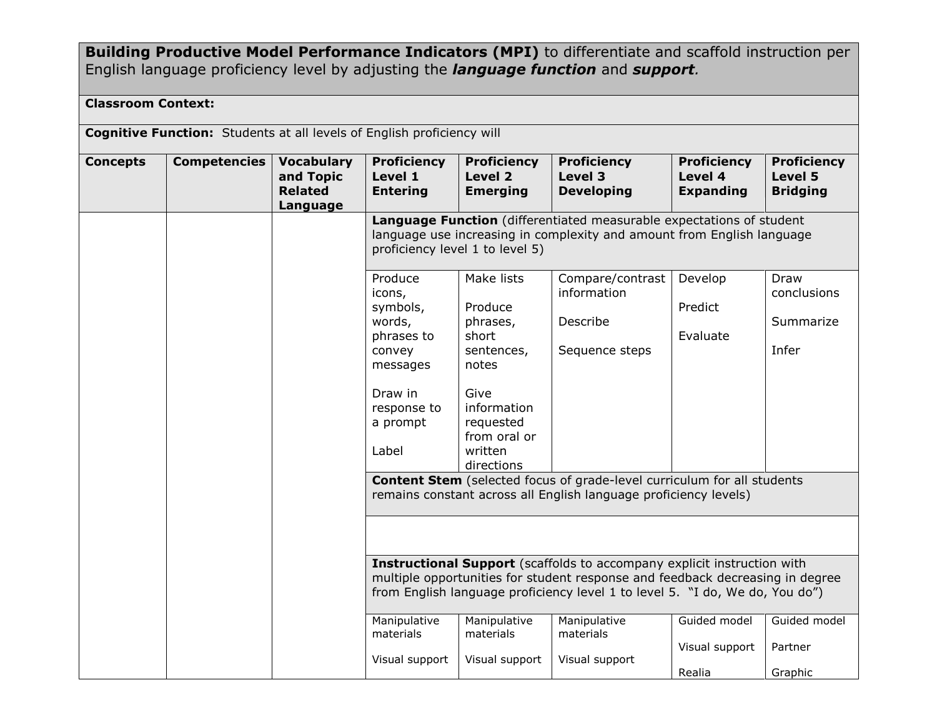**Building Productive Model Performance Indicators (MPI)** to differentiate and scaffold instruction per English language proficiency level by adjusting the *language function* and *support.*

### **Classroom Context:**

|                 | <b>Cognitive Function:</b> Students at all levels of English proficiency will |                                                              |                                                                                                                                                                                                                                                                                                                                                                                                |                                                                                                                                                |                                                                                                                            |                                                   |                                                  |  |  |
|-----------------|-------------------------------------------------------------------------------|--------------------------------------------------------------|------------------------------------------------------------------------------------------------------------------------------------------------------------------------------------------------------------------------------------------------------------------------------------------------------------------------------------------------------------------------------------------------|------------------------------------------------------------------------------------------------------------------------------------------------|----------------------------------------------------------------------------------------------------------------------------|---------------------------------------------------|--------------------------------------------------|--|--|
| <b>Concepts</b> | <b>Competencies</b>                                                           | <b>Vocabulary</b><br>and Topic<br><b>Related</b><br>Language | <b>Proficiency</b><br>Level 1<br><b>Entering</b>                                                                                                                                                                                                                                                                                                                                               | <b>Proficiency</b><br>Level 2<br><b>Emerging</b>                                                                                               | <b>Proficiency</b><br>Level 3<br><b>Developing</b><br>Language Function (differentiated measurable expectations of student | <b>Proficiency</b><br>Level 4<br><b>Expanding</b> | <b>Proficiency</b><br>Level 5<br><b>Bridging</b> |  |  |
|                 |                                                                               |                                                              | language use increasing in complexity and amount from English language<br>proficiency level 1 to level 5)                                                                                                                                                                                                                                                                                      |                                                                                                                                                |                                                                                                                            |                                                   |                                                  |  |  |
|                 |                                                                               |                                                              | Produce<br>icons,<br>symbols,<br>words,<br>phrases to<br>convey<br>messages<br>Draw in<br>response to<br>a prompt<br>Label                                                                                                                                                                                                                                                                     | Make lists<br>Produce<br>phrases,<br>short<br>sentences,<br>notes<br>Give<br>information<br>requested<br>from oral or<br>written<br>directions | Compare/contrast<br>information<br>Describe<br>Sequence steps                                                              | Develop<br>Predict<br>Evaluate                    | Draw<br>conclusions<br>Summarize<br>Infer        |  |  |
|                 |                                                                               |                                                              | <b>Content Stem</b> (selected focus of grade-level curriculum for all students<br>remains constant across all English language proficiency levels)<br>Instructional Support (scaffolds to accompany explicit instruction with<br>multiple opportunities for student response and feedback decreasing in degree<br>from English language proficiency level 1 to level 5. "I do, We do, You do") |                                                                                                                                                |                                                                                                                            |                                                   |                                                  |  |  |
|                 |                                                                               |                                                              |                                                                                                                                                                                                                                                                                                                                                                                                |                                                                                                                                                |                                                                                                                            |                                                   |                                                  |  |  |
|                 |                                                                               |                                                              | Manipulative<br>materials<br>Visual support                                                                                                                                                                                                                                                                                                                                                    | Manipulative<br>materials<br>Visual support                                                                                                    | Manipulative<br>materials<br>Visual support                                                                                | Guided model<br>Visual support<br>Realia          | Guided model<br>Partner<br>Graphic               |  |  |